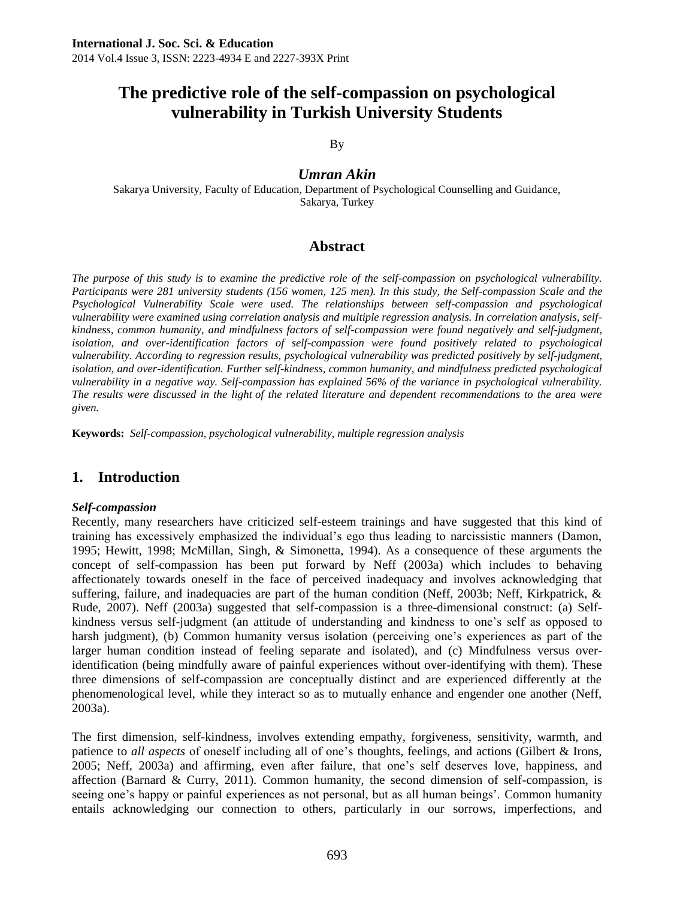# **The predictive role of the self-compassion on psychological vulnerability in Turkish University Students**

By

*Umran Akin*

Sakarya University, Faculty of Education, Department of Psychological Counselling and Guidance, Sakarya, Turkey

# **Abstract**

*The purpose of this study is to examine the predictive role of the self-compassion on psychological vulnerability. Participants were 281 university students (156 women, 125 men). In this study, the Self-compassion Scale and the Psychological Vulnerability Scale were used. The relationships between self-compassion and psychological vulnerability were examined using correlation analysis and multiple regression analysis. In correlation analysis, selfkindness, common humanity, and mindfulness factors of self-compassion were found negatively and self-judgment, isolation, and over-identification factors of self-compassion were found positively related to psychological vulnerability. According to regression results, psychological vulnerability was predicted positively by self-judgment,*  isolation, and over-identification. Further self-kindness, common humanity, and mindfulness predicted psychological *vulnerability in a negative way. Self-compassion has explained 56% of the variance in psychological vulnerability. The results were discussed in the light of the related literature and dependent recommendations to the area were given.*

**Keywords:** *Self-compassion, psychological vulnerability, multiple regression analysis*

### **1. Introduction**

#### *Self-compassion*

Recently, many researchers have criticized self-esteem trainings and have suggested that this kind of training has excessively emphasized the individual's ego thus leading to narcissistic manners (Damon, 1995; Hewitt, 1998; McMillan, Singh, & Simonetta, 1994). As a consequence of these arguments the concept of self-compassion has been put forward by Neff (2003a) which includes to behaving affectionately towards oneself in the face of perceived inadequacy and involves acknowledging that suffering, failure, and inadequacies are part of the human condition (Neff, 2003b; Neff, Kirkpatrick, & Rude, 2007). Neff (2003a) suggested that self-compassion is a three-dimensional construct: (a) Selfkindness versus self-judgment (an attitude of understanding and kindness to one's self as opposed to harsh judgment), (b) Common humanity versus isolation (perceiving one's experiences as part of the larger human condition instead of feeling separate and isolated), and (c) Mindfulness versus overidentification (being mindfully aware of painful experiences without over-identifying with them). These three dimensions of self-compassion are conceptually distinct and are experienced differently at the phenomenological level, while they interact so as to mutually enhance and engender one another (Neff, 2003a).

The first dimension, self-kindness, involves extending empathy, forgiveness, sensitivity, warmth, and patience to *all aspects* of oneself including all of one's thoughts, feelings, and actions (Gilbert & Irons, 2005; Neff, 2003a) and affirming, even after failure, that one's self deserves love, happiness, and affection (Barnard  $&$  Curry, 2011). Common humanity, the second dimension of self-compassion, is seeing one's happy or painful experiences as not personal, but as all human beings'. Common humanity entails acknowledging our connection to others, particularly in our sorrows, imperfections, and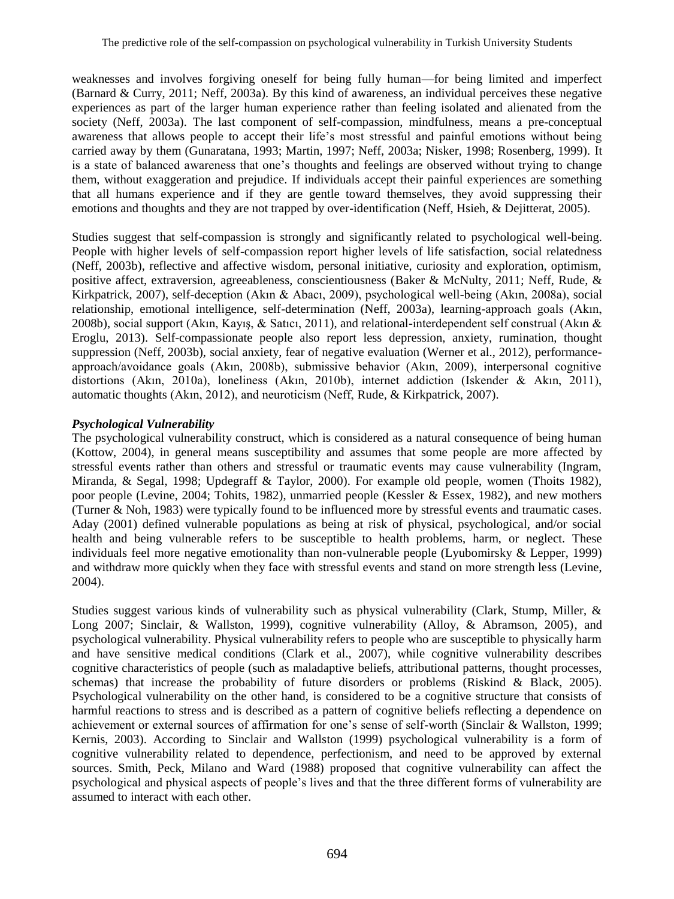weaknesses and involves forgiving oneself for being fully human—for being limited and imperfect (Barnard & Curry, 2011; Neff, 2003a). By this kind of awareness, an individual perceives these negative experiences as part of the larger human experience rather than feeling isolated and alienated from the society (Neff, 2003a). The last component of self-compassion, mindfulness, means a pre-conceptual awareness that allows people to accept their life's most stressful and painful emotions without being carried away by them (Gunaratana, 1993; Martin, 1997; Neff, 2003a; Nisker, 1998; Rosenberg, 1999). It is a state of balanced awareness that one's thoughts and feelings are observed without trying to change them, without exaggeration and prejudice. If individuals accept their painful experiences are something that all humans experience and if they are gentle toward themselves, they avoid suppressing their emotions and thoughts and they are not trapped by over-identification (Neff, Hsieh, & Dejitterat, 2005).

Studies suggest that self-compassion is strongly and significantly related to psychological well-being. People with higher levels of self-compassion report higher levels of life satisfaction, social relatedness (Neff, 2003b), reflective and affective wisdom, personal initiative, curiosity and exploration, optimism, positive affect, extraversion, agreeableness, conscientiousness (Baker & McNulty, 2011; Neff, Rude, & Kirkpatrick, 2007), self-deception (Akın & Abacı, 2009), psychological well-being (Akın, 2008a), social relationship, emotional intelligence, self-determination (Neff, 2003a), learning-approach goals (Akın, 2008b), social support (Akın, Kayış, & Satıcı, 2011), and relational-interdependent self construal (Akın & Eroglu, 2013). Self-compassionate people also report less depression, anxiety, rumination, thought suppression (Neff, 2003b), social anxiety, fear of negative evaluation (Werner et al., 2012), performanceapproach/avoidance goals (Akın, 2008b), submissive behavior (Akın, 2009), interpersonal cognitive distortions (Akın, 2010a), loneliness (Akın, 2010b), internet addiction (Iskender & Akın, 2011), automatic thoughts (Akın, 2012), and neuroticism (Neff, Rude, & Kirkpatrick, 2007).

#### *Psychological Vulnerability*

The psychological vulnerability construct, which is considered as a natural consequence of being human (Kottow, 2004), in general means susceptibility and assumes that some people are more affected by stressful events rather than others and stressful or traumatic events may cause vulnerability (Ingram, Miranda, & Segal, 1998; Updegraff & Taylor, 2000). For example old people, women (Thoits 1982), poor people (Levine, 2004; Tohits, 1982), unmarried people (Kessler & Essex, 1982), and new mothers (Turner & Noh, 1983) were typically found to be influenced more by stressful events and traumatic cases. Aday (2001) defined vulnerable populations as being at risk of physical, psychological, and/or social health and being vulnerable refers to be susceptible to health problems, harm, or neglect. These individuals feel more negative emotionality than non-vulnerable people (Lyubomirsky & Lepper, 1999) and withdraw more quickly when they face with stressful events and stand on more strength less (Levine, 2004).

Studies suggest various kinds of vulnerability such as physical vulnerability (Clark, Stump, Miller, & Long 2007; Sinclair, & Wallston, 1999), cognitive vulnerability (Alloy, & Abramson, 2005), and psychological vulnerability. Physical vulnerability refers to people who are susceptible to physically harm and have sensitive medical conditions (Clark et al., 2007), while cognitive vulnerability describes cognitive characteristics of people (such as maladaptive beliefs, attributional patterns, thought processes, schemas) that increase the probability of future disorders or problems (Riskind & Black, 2005). Psychological vulnerability on the other hand, is considered to be a cognitive structure that consists of harmful reactions to stress and is described as a pattern of cognitive beliefs reflecting a dependence on achievement or external sources of affirmation for one's sense of self-worth (Sinclair & Wallston, 1999; Kernis, 2003). According to Sinclair and Wallston (1999) psychological vulnerability is a form of cognitive vulnerability related to dependence, perfectionism, and need to be approved by external sources. Smith, Peck, Milano and Ward (1988) proposed that cognitive vulnerability can affect the psychological and physical aspects of people's lives and that the three different forms of vulnerability are assumed to interact with each other.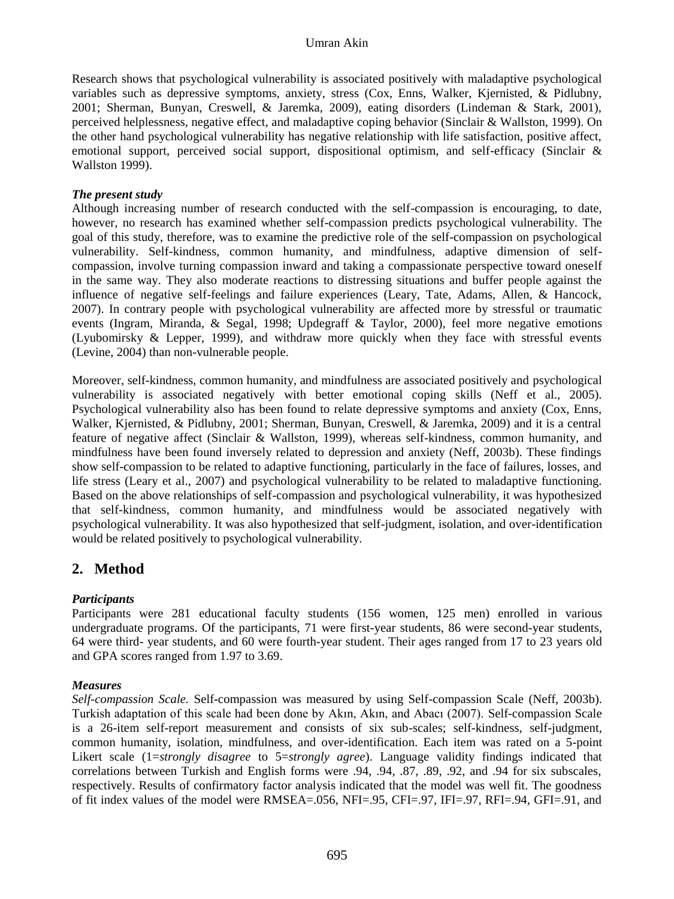Research shows that psychological vulnerability is associated positively with maladaptive psychological variables such as depressive symptoms, anxiety, stress (Cox, Enns, Walker, Kjernisted, & Pidlubny, 2001; Sherman, Bunyan, Creswell, & Jaremka, 2009), eating disorders (Lindeman & Stark, 2001), perceived helplessness, negative effect, and maladaptive coping behavior (Sinclair & Wallston, 1999). On the other hand psychological vulnerability has negative relationship with life satisfaction, positive affect, emotional support, perceived social support, dispositional optimism, and self-efficacy (Sinclair & Wallston 1999).

#### *The present study*

Although increasing number of research conducted with the self-compassion is encouraging, to date, however, no research has examined whether self-compassion predicts psychological vulnerability. The goal of this study, therefore, was to examine the predictive role of the self-compassion on psychological vulnerability. Self-kindness, common humanity, and mindfulness, adaptive dimension of selfcompassion, involve turning compassion inward and taking a compassionate perspective toward oneself in the same way. They also moderate reactions to distressing situations and buffer people against the influence of negative self-feelings and failure experiences (Leary, Tate, Adams, Allen, & Hancock, 2007). In contrary people with psychological vulnerability are affected more by stressful or traumatic events (Ingram, Miranda, & Segal, 1998; Updegraff & Taylor, 2000), feel more negative emotions (Lyubomirsky & Lepper, 1999), and withdraw more quickly when they face with stressful events (Levine, 2004) than non-vulnerable people.

Moreover, self-kindness, common humanity, and mindfulness are associated positively and psychological vulnerability is associated negatively with better emotional coping skills (Neff et al., 2005). Psychological vulnerability also has been found to relate depressive symptoms and anxiety (Cox, Enns, Walker, Kjernisted, & Pidlubny, 2001; Sherman, Bunyan, Creswell, & Jaremka, 2009) and it is a central feature of negative affect (Sinclair & Wallston, 1999), whereas self-kindness, common humanity, and mindfulness have been found inversely related to depression and anxiety (Neff, 2003b). These findings show self-compassion to be related to adaptive functioning, particularly in the face of failures, losses, and life stress (Leary et al., 2007) and psychological vulnerability to be related to maladaptive functioning. Based on the above relationships of self-compassion and psychological vulnerability, it was hypothesized that self-kindness, common humanity, and mindfulness would be associated negatively with psychological vulnerability. It was also hypothesized that self-judgment, isolation, and over-identification would be related positively to psychological vulnerability.

### **2. Method**

#### *Participants*

Participants were 281 educational faculty students (156 women, 125 men) enrolled in various undergraduate programs. Of the participants, 71 were first-year students, 86 were second-year students, 64 were third- year students, and 60 were fourth-year student. Their ages ranged from 17 to 23 years old and GPA scores ranged from 1.97 to 3.69.

#### *Measures*

*Self-compassion Scale.* Self-compassion was measured by using Self-compassion Scale (Neff, 2003b). Turkish adaptation of this scale had been done by Akın, Akın, and Abacı (2007). Self-compassion Scale is a 26-item self-report measurement and consists of six sub-scales; self-kindness, self-judgment, common humanity, isolation, mindfulness, and over-identification. Each item was rated on a 5-point Likert scale (1=*strongly disagree* to 5=*strongly agree*). Language validity findings indicated that correlations between Turkish and English forms were .94, .94, .87, .89, .92, and .94 for six subscales, respectively. Results of confirmatory factor analysis indicated that the model was well fit. The goodness of fit index values of the model were RMSEA=.056, NFI=.95, CFI=.97, IFI=.97, RFI=.94, GFI=.91, and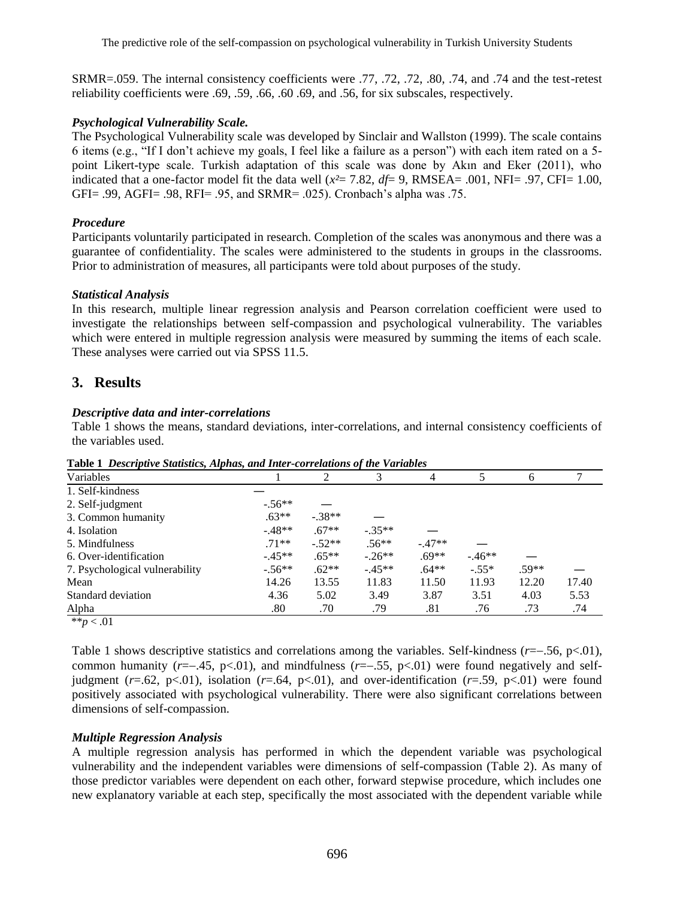SRMR=.059. The internal consistency coefficients were .77, .72, .72, .80, .74, and .74 and the test-retest reliability coefficients were .69, .59, .66, .60 .69, and .56, for six subscales, respectively.

#### *Psychological Vulnerability Scale.*

The Psychological Vulnerability scale was developed by Sinclair and Wallston (1999). The scale contains 6 items (e.g., "If I don't achieve my goals, I feel like a failure as a person") with each item rated on a 5 point Likert-type scale. Turkish adaptation of this scale was done by Akın and Eker (2011), who indicated that a one-factor model fit the data well (*x²*= 7.82, *df*= 9, RMSEA= .001, NFI= .97, CFI= 1.00, GFI= .99, AGFI= .98, RFI= .95, and SRMR= .025). Cronbach's alpha was .75.

#### *Procedure*

Participants voluntarily participated in research. Completion of the scales was anonymous and there was a guarantee of confidentiality. The scales were administered to the students in groups in the classrooms. Prior to administration of measures, all participants were told about purposes of the study.

#### *Statistical Analysis*

In this research, multiple linear regression analysis and Pearson correlation coefficient were used to investigate the relationships between self-compassion and psychological vulnerability. The variables which were entered in multiple regression analysis were measured by summing the items of each scale. These analyses were carried out via SPSS 11.5.

# **3. Results**

#### *Descriptive data and inter-correlations*

Table 1 shows the means, standard deviations, inter-correlations, and internal consistency coefficients of the variables used.

| Variables                      |          | 2        |          |          |         | <sub>0</sub> |       |
|--------------------------------|----------|----------|----------|----------|---------|--------------|-------|
| 1. Self-kindness               |          |          |          |          |         |              |       |
| 2. Self-judgment               | $-.56**$ |          |          |          |         |              |       |
| 3. Common humanity             | $.63**$  | $-.38**$ |          |          |         |              |       |
| 4. Isolation                   | $-48**$  | $.67**$  | $-.35**$ |          |         |              |       |
| 5. Mindfulness                 | $.71**$  | $-.52**$ | $.56**$  | $-.47**$ |         |              |       |
| 6. Over-identification         | $-.45**$ | $.65**$  | $-26**$  | $.69**$  | $-46**$ |              |       |
| 7. Psychological vulnerability | $-.56**$ | $.62**$  | $-45**$  | $.64**$  | $-.55*$ | $.59**$      |       |
| Mean                           | 14.26    | 13.55    | 11.83    | 11.50    | 11.93   | 12.20        | 17.40 |
| Standard deviation             | 4.36     | 5.02     | 3.49     | 3.87     | 3.51    | 4.03         | 5.53  |
| Alpha                          | .80      | .70      | .79      | .81      | .76     | .73          | .74   |
| ** $p < .01$                   |          |          |          |          |         |              |       |

**Table 1** *Descriptive Statistics, Alphas, and Inter-correlations of the Variables*

Table 1 shows descriptive statistics and correlations among the variables. Self-kindness (*r*=.56, p<.01), common humanity ( $r=-.45$ ,  $p<.01$ ), and mindfulness ( $r=-.55$ ,  $p<.01$ ) were found negatively and selfjudgment  $(r=.62, p<.01)$ , isolation  $(r=.64, p<.01)$ , and over-identification  $(r=.59, p<.01)$  were found positively associated with psychological vulnerability. There were also significant correlations between dimensions of self-compassion.

#### *Multiple Regression Analysis*

A multiple regression analysis has performed in which the dependent variable was psychological vulnerability and the independent variables were dimensions of self-compassion (Table 2). As many of those predictor variables were dependent on each other, forward stepwise procedure, which includes one new explanatory variable at each step, specifically the most associated with the dependent variable while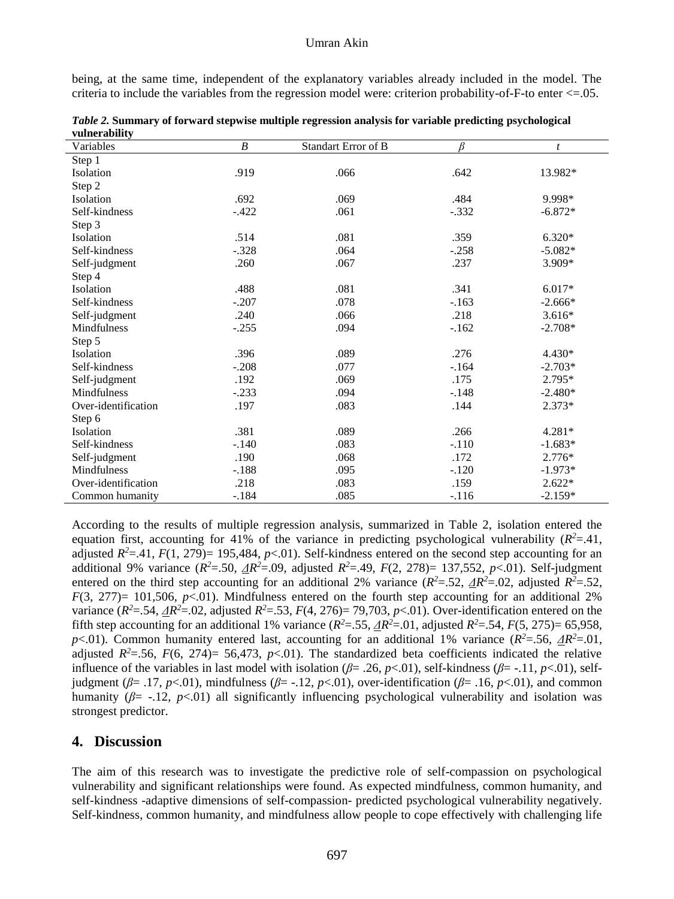being, at the same time, independent of the explanatory variables already included in the model. The criteria to include the variables from the regression model were: criterion probability-of-F-to enter  $\leq$ =.05.

| ушпегаршту<br>Variables | $\boldsymbol{B}$ | <b>Standart Error of B</b> | ß       | t         |
|-------------------------|------------------|----------------------------|---------|-----------|
| Step 1                  |                  |                            |         |           |
| Isolation               | .919             | .066                       | .642    | 13.982*   |
| Step 2                  |                  |                            |         |           |
| Isolation               | .692             | .069                       | .484    | 9.998*    |
| Self-kindness           | $-.422$          | .061                       | $-.332$ | $-6.872*$ |
| Step 3                  |                  |                            |         |           |
| Isolation               | .514             | .081                       | .359    | $6.320*$  |
| Self-kindness           | $-.328$          | .064                       | $-.258$ | $-5.082*$ |
| Self-judgment           | .260             | .067                       | .237    | 3.909*    |
| Step 4                  |                  |                            |         |           |
| <b>Isolation</b>        | .488             | .081                       | .341    | $6.017*$  |
| Self-kindness           | $-.207$          | .078                       | $-.163$ | $-2.666*$ |
| Self-judgment           | .240             | .066                       | .218    | $3.616*$  |
| Mindfulness             | $-.255$          | .094                       | $-.162$ | $-2.708*$ |
| Step 5                  |                  |                            |         |           |
| <b>Isolation</b>        | .396             | .089                       | .276    | $4.430*$  |
| Self-kindness           | $-.208$          | .077                       | $-164$  | $-2.703*$ |
| Self-judgment           | .192             | .069                       | .175    | $2.795*$  |
| <b>Mindfulness</b>      | $-.233$          | .094                       | $-.148$ | $-2.480*$ |
| Over-identification     | .197             | .083                       | .144    | $2.373*$  |
| Step 6                  |                  |                            |         |           |
| Isolation               | .381             | .089                       | .266    | 4.281*    |
| Self-kindness           | $-.140$          | .083                       | $-.110$ | $-1.683*$ |
| Self-judgment           | .190             | .068                       | .172    | $2.776*$  |
| Mindfulness             | $-.188$          | .095                       | $-.120$ | $-1.973*$ |
| Over-identification     | .218             | .083                       | .159    | $2.622*$  |
| Common humanity         | $-.184$          | .085                       | $-.116$ | $-2.159*$ |

*Table 2.* **Summary of forward stepwise multiple regression analysis for variable predicting psychological vulnerability**

According to the results of multiple regression analysis, summarized in Table 2, isolation entered the equation first, accounting for 41% of the variance in predicting psychological vulnerability  $(R^2 = .41)$ , adjusted  $R^2 = .41$ ,  $F(1, 279) = 195,484$ ,  $p < .01$ ). Self-kindness entered on the second step accounting for an additional 9% variance  $(R^2 = 50, \Delta R^2 = 0.09$ , adjusted  $R^2 = .49$ ,  $F(2, 278) = 137,552$ ,  $p < .01$ ). Self-judgment entered on the third step accounting for an additional 2% variance  $(R^2 = .52, \Delta R^2 = .02,$  adjusted  $R^2 = .52,$  $F(3, 277) = 101,506, p<0.01$ ). Mindfulness entered on the fourth step accounting for an additional 2% variance  $(R^2 = .54, \Delta R^2 = .02$ , adjusted  $R^2 = .53$ ,  $F(4, 276) = 79,703$ ,  $p < .01$ ). Over-identification entered on the fifth step accounting for an additional 1% variance  $(R^2 = .55, \Delta R^2 = .01,$  adjusted  $R^2 = .54, F(5, 275) = 65,958,$ *p*<.01). Common humanity entered last, accounting for an additional 1% variance  $(R^2 = .56, \Delta R^2 = .01,$ adjusted  $R^2$ =.56,  $F(6, 274)$ = 56,473,  $p$ <.01). The standardized beta coefficients indicated the relative influence of the variables in last model with isolation ( $\beta$ = .26,  $p$ <.01), self-kindness ( $\beta$ = -.11,  $p$ <.01), selfjudgment (*β*= .17, *p*<.01), mindfulness (*β*= -.12, *p*<.01), over-identification (*β*= .16, *p*<.01), and common humanity  $(\beta = -12, p<01)$  all significantly influencing psychological vulnerability and isolation was strongest predictor.

### **4. Discussion**

The aim of this research was to investigate the predictive role of self-compassion on psychological vulnerability and significant relationships were found. As expected mindfulness, common humanity, and self-kindness -adaptive dimensions of self-compassion- predicted psychological vulnerability negatively. Self-kindness, common humanity, and mindfulness allow people to cope effectively with challenging life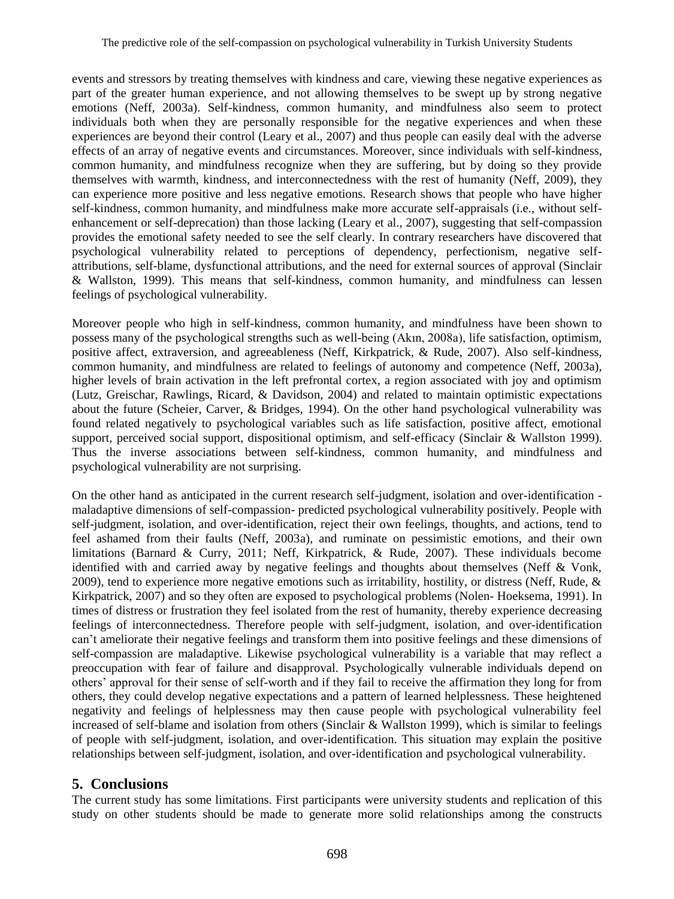events and stressors by treating themselves with kindness and care, viewing these negative experiences as part of the greater human experience, and not allowing themselves to be swept up by strong negative emotions (Neff, 2003a). Self-kindness, common humanity, and mindfulness also seem to protect individuals both when they are personally responsible for the negative experiences and when these experiences are beyond their control (Leary et al., 2007) and thus people can easily deal with the adverse effects of an array of negative events and circumstances. Moreover, since individuals with self-kindness, common humanity, and mindfulness recognize when they are suffering, but by doing so they provide themselves with warmth, kindness, and interconnectedness with the rest of humanity (Neff, 2009), they can experience more positive and less negative emotions. Research shows that people who have higher self-kindness, common humanity, and mindfulness make more accurate self-appraisals (i.e., without selfenhancement or self-deprecation) than those lacking (Leary et al., 2007), suggesting that self-compassion provides the emotional safety needed to see the self clearly. In contrary researchers have discovered that psychological vulnerability related to perceptions of dependency, perfectionism, negative selfattributions, self-blame, dysfunctional attributions, and the need for external sources of approval (Sinclair & Wallston, 1999). This means that self-kindness, common humanity, and mindfulness can lessen feelings of psychological vulnerability.

Moreover people who high in self-kindness, common humanity, and mindfulness have been shown to possess many of the psychological strengths such as well-being (Akın, 2008a), life satisfaction, optimism, positive affect, extraversion, and agreeableness (Neff, Kirkpatrick, & Rude, 2007). Also self-kindness, common humanity, and mindfulness are related to feelings of autonomy and competence (Neff, 2003a), higher levels of brain activation in the left prefrontal cortex, a region associated with joy and optimism (Lutz, Greischar, Rawlings, Ricard, & Davidson, 2004) and related to maintain optimistic expectations about the future (Scheier, Carver, & Bridges, 1994). On the other hand psychological vulnerability was found related negatively to psychological variables such as life satisfaction, positive affect, emotional support, perceived social support, dispositional optimism, and self-efficacy (Sinclair & Wallston 1999). Thus the inverse associations between self-kindness, common humanity, and mindfulness and psychological vulnerability are not surprising.

On the other hand as anticipated in the current research self-judgment, isolation and over-identification maladaptive dimensions of self-compassion- predicted psychological vulnerability positively. People with self-judgment, isolation, and over-identification, reject their own feelings, thoughts, and actions, tend to feel ashamed from their faults (Neff, 2003a), and ruminate on pessimistic emotions, and their own limitations (Barnard & Curry, 2011; Neff, Kirkpatrick, & Rude, 2007). These individuals become identified with and carried away by negative feelings and thoughts about themselves (Neff & Vonk, 2009), tend to experience more negative emotions such as irritability, hostility, or distress (Neff, Rude,  $\&$ Kirkpatrick, 2007) and so they often are exposed to psychological problems (Nolen- Hoeksema, 1991). In times of distress or frustration they feel isolated from the rest of humanity, thereby experience decreasing feelings of interconnectedness. Therefore people with self-judgment, isolation, and over-identification can't ameliorate their negative feelings and transform them into positive feelings and these dimensions of self-compassion are maladaptive. Likewise psychological vulnerability is a variable that may reflect a preoccupation with fear of failure and disapproval. Psychologically vulnerable individuals depend on others' approval for their sense of self-worth and if they fail to receive the affirmation they long for from others, they could develop negative expectations and a pattern of learned helplessness. These heightened negativity and feelings of helplessness may then cause people with psychological vulnerability feel increased of self-blame and isolation from others (Sinclair & Wallston 1999), which is similar to feelings of people with self-judgment, isolation, and over-identification. This situation may explain the positive relationships between self-judgment, isolation, and over-identification and psychological vulnerability.

### **5. Conclusions**

The current study has some limitations. First participants were university students and replication of this study on other students should be made to generate more solid relationships among the constructs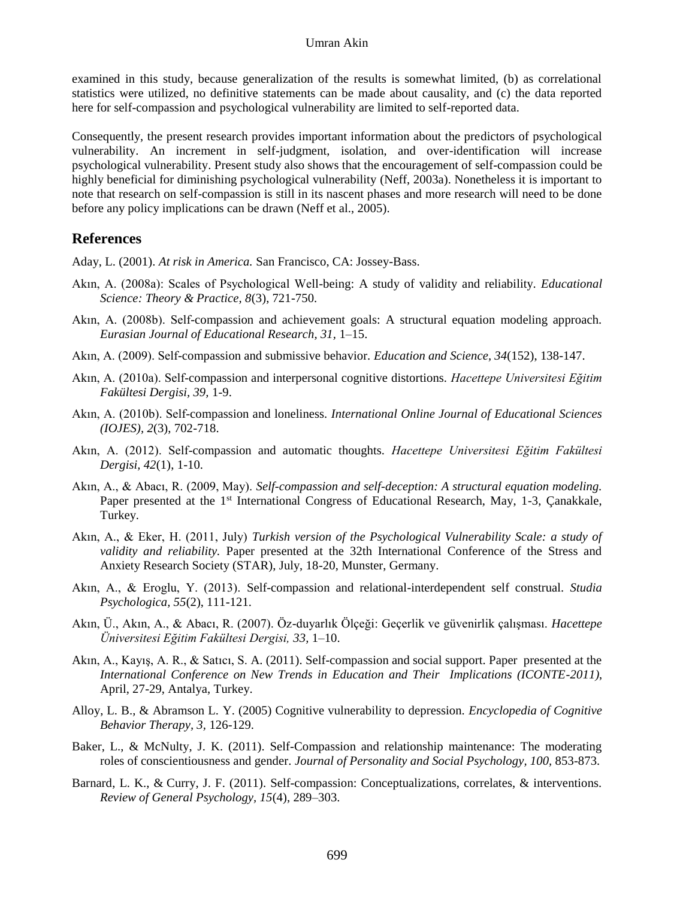examined in this study, because generalization of the results is somewhat limited, (b) as correlational statistics were utilized, no definitive statements can be made about causality, and (c) the data reported here for self-compassion and psychological vulnerability are limited to self-reported data.

Consequently, the present research provides important information about the predictors of psychological vulnerability. An increment in self-judgment, isolation, and over-identification will increase psychological vulnerability. Present study also shows that the encouragement of self-compassion could be highly beneficial for diminishing psychological vulnerability (Neff, 2003a). Nonetheless it is important to note that research on self-compassion is still in its nascent phases and more research will need to be done before any policy implications can be drawn (Neff et al., 2005).

### **References**

Aday, L. (2001). *At risk in America.* San Francisco, CA: Jossey-Bass.

- Akın, A. (2008a): Scales of Psychological Well-being: A study of validity and reliability. *Educational Science: Theory & Practice, 8*(3), 721-750.
- Akın, A. (2008b). Self-compassion and achievement goals: A structural equation modeling approach. *Eurasian Journal of Educational Research, 31,* 1–15.
- Akın, A. (2009). Self-compassion and submissive behavior. *Education and Science, 34*(152), 138-147.
- Akın, A. (2010a). Self-compassion and interpersonal cognitive distortions. *Hacettepe Universitesi Eğitim Fakültesi Dergisi, 39,* 1-9.
- Akın, A. (2010b). Self-compassion and loneliness. *International Online Journal of Educational Sciences (IOJES), 2*(3), 702-718.
- Akın, A. (2012). Self-compassion and automatic thoughts. *Hacettepe Universitesi Eğitim Fakültesi Dergisi, 42*(1), 1-10.
- Akın, A., & Abacı, R. (2009, May). *Self-compassion and self-deception: A structural equation modeling.*  Paper presented at the 1<sup>st</sup> International Congress of Educational Research, May, 1-3, Canakkale, Turkey.
- Akın, A., & Eker, H. (2011, July) *Turkish version of the Psychological Vulnerability Scale: a study of validity and reliability.* Paper presented at the 32th International Conference of the Stress and Anxiety Research Society (STAR), July, 18-20, Munster, Germany.
- Akın, A., & Eroglu, Y. (2013). Self-compassion and relational-interdependent self construal. *Studia Psychologica, 55*(2), 111-121.
- Akın, Ü., Akın, A., & Abacı, R. (2007). Öz-duyarlık Ölçeği: Geçerlik ve güvenirlik çalışması. *Hacettepe Üniversitesi Eğitim Fakültesi Dergisi, 33,* 1–10.
- Akın, A., Kayış, A. R., & Satıcı, S. A. (2011). Self-compassion and social support. Paper presented at the *International Conference on New Trends in Education and Their Implications (ICONTE-2011)*, April, 27-29, Antalya, Turkey.
- Alloy, L. B., & Abramson L. Y. (2005) Cognitive vulnerability to depression. *Encyclopedia of Cognitive Behavior Therapy, 3,* 126-129.
- Baker, L., & McNulty, J. K. (2011). Self-Compassion and relationship maintenance: The moderating roles of conscientiousness and gender. *Journal of Personality and Social Psychology, 100,* 853-873.
- Barnard, L. K., & Curry, J. F. (2011). Self-compassion: Conceptualizations, correlates, & interventions. *Review of General Psychology, 15*(4), 289–303.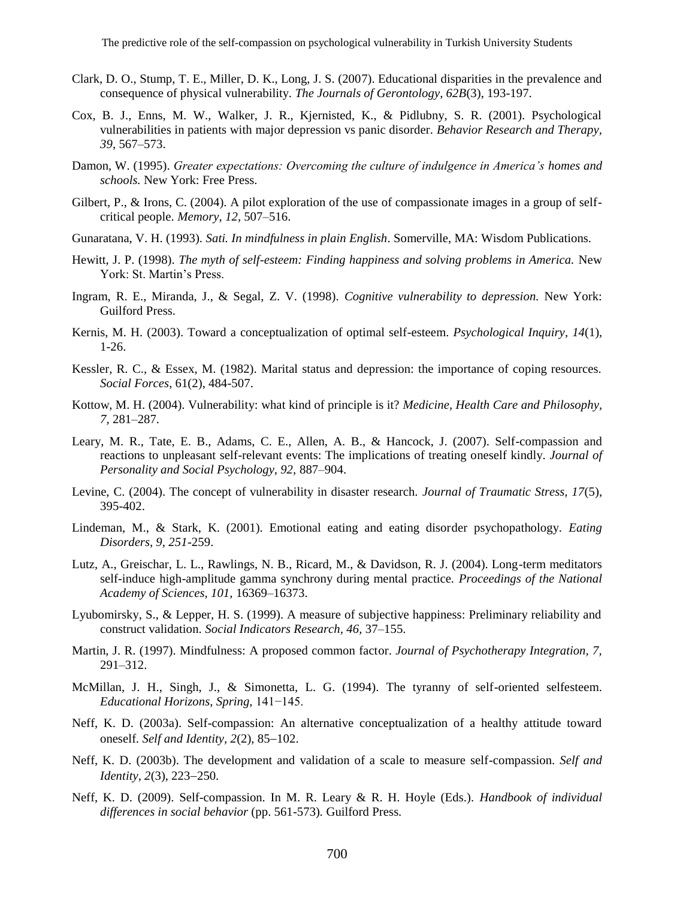- Clark, D. O., Stump, T. E., Miller, D. K., Long, J. S. (2007). Educational disparities in the prevalence and consequence of physical vulnerability. *The Journals of Gerontology, 62B*(3), 193-197.
- Cox, B. J., Enns, M. W., Walker, J. R., Kjernisted, K., & Pidlubny, S. R. (2001). Psychological vulnerabilities in patients with major depression vs panic disorder. *Behavior Research and Therapy, 39,* 567–573.
- Damon, W. (1995). *Greater expectations: Overcoming the culture of indulgence in America's homes and schools.* New York: Free Press.
- Gilbert, P., & Irons, C. (2004). A pilot exploration of the use of compassionate images in a group of selfcritical people. *Memory*, *12,* 507–516.
- Gunaratana, V. H. (1993). *Sati. In mindfulness in plain English*. Somerville, MA: Wisdom Publications.
- Hewitt, J. P. (1998). *The myth of self-esteem: Finding happiness and solving problems in America.* New York: St. Martin's Press.
- Ingram, R. E., Miranda, J., & Segal, Z. V. (1998). *Cognitive vulnerability to depression.* New York: Guilford Press.
- Kernis, M. H. (2003). Toward a conceptualization of optimal self-esteem. *Psychological Inquiry*, *14*(1), 1-26.
- Kessler, R. C., & Essex, M. (1982). Marital status and depression: the importance of coping resources. *Social Forces*, 61(2), 484-507.
- Kottow, M. H. (2004). Vulnerability: what kind of principle is it? *Medicine, Health Care and Philosophy, 7,* 281–287.
- Leary, M. R., Tate, E. B., Adams, C. E., Allen, A. B., & Hancock, J. (2007). Self-compassion and reactions to unpleasant self-relevant events: The implications of treating oneself kindly. *Journal of Personality and Social Psychology, 92,* 887–904.
- Levine, C. (2004). The concept of vulnerability in disaster research. *Journal of Traumatic Stress, 17*(5), 395-402.
- Lindeman, M., & Stark, K. (2001). Emotional eating and eating disorder psychopathology. *Eating Disorders, 9, 251*-259.
- Lutz, A., Greischar, L. L., Rawlings, N. B., Ricard, M., & Davidson, R. J. (2004). Long-term meditators self-induce high-amplitude gamma synchrony during mental practice. *Proceedings of the National Academy of Sciences, 101,* 16369–16373.
- Lyubomirsky, S., & Lepper, H. S. (1999). A measure of subjective happiness: Preliminary reliability and construct validation. *Social Indicators Research, 46,* 37–155.
- Martin, J. R. (1997). Mindfulness: A proposed common factor. *Journal of Psychotherapy Integration, 7,*  291–312.
- McMillan, J. H., Singh, J., & Simonetta, L. G. (1994). The tyranny of self-oriented selfesteem. *Educational Horizons, Spring,* 141−145.
- Neff, K. D. (2003a). Self-compassion: An alternative conceptualization of a healthy attitude toward oneself. *Self and Identity*, 2(2), 85-102.
- Neff, K. D. (2003b). The development and validation of a scale to measure self-compassion. *Self and Identity, 2(3), 223-250.*
- Neff, K. D. (2009). Self-compassion. In M. R. Leary & R. H. Hoyle (Eds.). *Handbook of individual differences in social behavior* (pp. 561-573)*.* Guilford Press.